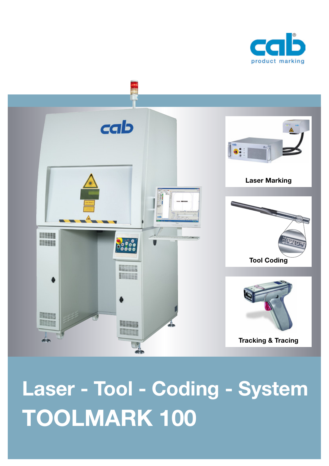



**Laser - Tool - Coding - System TOOLMARK 100**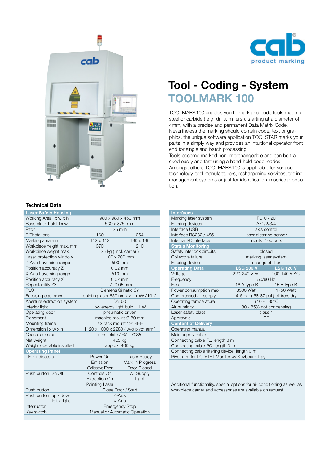

## **Tool - Coding - System TOOLMARK 100**

TOOLMARK100 enables you to mark and code tools made of steel or carbide ( e.g. drills, millers ), starting at a diameter of 4mm, with a precise and permanent Data Matrix Code. Nevertheless the marking should contain code, text or graphics, the unique software application TOOLSTAR marks your parts in a simply way and provides an intuitional operator front end for single and batch processing.

Tools become marked non-interchangeable and can be tracked easily and fast using a hand-held code reader. Amongst others TOOLMARK100 is applicable for surface technology, tool manufacturers, resharpening services, tooling management systems or just for identification in series production.

| <b>Interfaces</b>                              |                                   |                  |
|------------------------------------------------|-----------------------------------|------------------|
| Marking laser system                           | FL10 / 20                         |                  |
| Filtering devices                              | AF1/2/3/4                         |                  |
| Interface USB                                  | axis control                      |                  |
| Interface RS232 / 485                          | laser-distance-sensor             |                  |
| Internal I/O interface                         | inputs / outputs                  |                  |
| <b>Status Monitoring</b>                       |                                   |                  |
| Safety interlock circuits                      | closed                            |                  |
| Collective failure                             | marking laser system              |                  |
| Filtering device                               | change of filter                  |                  |
| <b>Operating Data</b>                          | <b>LSG 230 V 2007</b>             | <b>LSG 120 V</b> |
| Voltage                                        | 220-240 V AC   100-140 V AC       |                  |
| Frequency                                      | 50/60 Hz                          |                  |
| Fuse                                           | 16 A type B $\Box$                | 15 A type B      |
| Power consumption max.                         | 3500 Watt                         | 1750 Watt        |
| Compressed air supply                          | 4-6 bar (58-87 psi) oil free, dry |                  |
| Operating temperature                          | $+10 - +35$ °C                    |                  |
| Air humidity                                   | 30 - 85% not condensing           |                  |
| Laser safety class                             | class 1                           |                  |
| Approvals                                      | <b>CE</b>                         |                  |
| <b>Content of Delivery</b>                     |                                   |                  |
| Operating manual                               |                                   |                  |
| Main supply cable                              |                                   |                  |
| Connecting cable FL, length 3 m                |                                   |                  |
| Connecting cable PC, length 3 m                |                                   |                  |
| Connecting cable filtering device, length 3 m  |                                   |                  |
| Pivot arm for LCD/TFT Monitor w/ Keyboard Tray |                                   |                  |
|                                                |                                   |                  |

Additional functionality, special options for air conditioning as well as workpiece carrier and accessories are available on request.



#### **Technical Data**

| <b>Laser Safety Housing</b>     |                                            |                               |
|---------------------------------|--------------------------------------------|-------------------------------|
| Working Area I x w x h          | 980 x 980 x 460 mm                         |                               |
| Base plate T-slot I x w         | 530 x 375 mm                               |                               |
| Pitch                           | 25 mm                                      |                               |
| F-Theta lens                    | 160                                        | 254                           |
| Marking area mm                 | 112 x 112                                  | 180 x 180                     |
| Workpiece height max. mm        | 370                                        | 210                           |
| Workpiece weight max.           | 25 kg (incl. carrier)                      |                               |
| Laser protection window         |                                            | 100 x 200 mm                  |
| Z-Axis traversing range         | 500 mm                                     |                               |
| Position accuracy Z             | $0.02$ mm                                  |                               |
| X-Axis traversing range         | 510 mm                                     |                               |
| Position accuracy X             | $0.02$ mm                                  |                               |
| Repeatability ZX                | $+/- 0.05$ mm                              |                               |
| <b>PLC</b>                      | Siemens Simatic S7                         |                               |
| Focusing equipment              | pointing laser 650 nm $/ < 1$ mW $/$ Kl. 2 |                               |
| Aperture extraction system      | DN 50                                      |                               |
| Interior light                  | low energy light bulb, 11 W                |                               |
| Operating door                  | pneumatic driven                           |                               |
| Placement                       | machine mount Ø 80 mm                      |                               |
| Mounting frame                  | 2 x rack mount 19" 4HE                     |                               |
| Dimension $l \times w \times h$ | 1120 x 1000 x 2280 (w/o pivot arm)         |                               |
| Chassis / colour                | steel plate / RAL 7035                     |                               |
| Net weight                      | 405 kg                                     |                               |
| Weight operable installed       | approx. 460 kg                             |                               |
| <b>Operating Panel</b>          |                                            |                               |
| <b>LED-indicators</b>           | Power On                                   | Laser Ready                   |
|                                 | Emission                                   | Mark in Progress              |
|                                 | Collective Error                           | Door Closed                   |
| Push button On/Off              | Controls On                                | Air Supply                    |
|                                 | <b>Extraction On</b>                       | Light                         |
|                                 | <b>Pointing Laser</b>                      |                               |
| Push button                     | Close Door / Start                         |                               |
| Push button up / down           | Z-Axis                                     |                               |
| left / right                    | X-Axis                                     |                               |
| Interruptor                     | <b>Emergency Stop</b>                      |                               |
| Key switch                      |                                            | Manual or Automatic Operation |
|                                 |                                            |                               |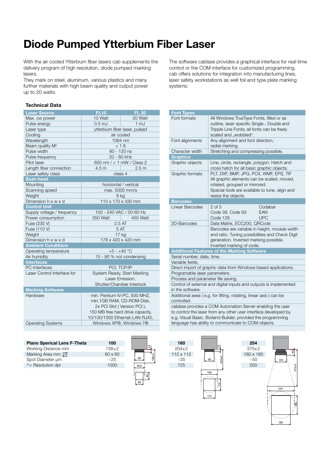# **Diode Pumped Ytterbium Fiber Laser**

With the air cooled Ytterbium fiber lasers cab supplements the delivery program of high resolution, diode pumped marking lasers.

They mark on steel, aluminum, various plastics and many further materials with high beam quality and output power up to 20 watts.

#### **Technical Data**

| <b>Laser Source</b>         | <b>FL10</b>                      | <b>FL 20</b>     |
|-----------------------------|----------------------------------|------------------|
| Max. cw power               | 10 Watt                          | 20 Watt          |
| Pulse energy                | 0.5 <sub>mJ</sub>                | 1 <sub>mJ</sub>  |
| Laser type                  | ytterbium fiber laser, pulsed    |                  |
| Cooling                     | air cooled                       |                  |
| Wavelength                  |                                  | 1064 nm          |
| Beam quality M <sup>2</sup> | < 1.8                            |                  |
| Pulse width                 | 80 - 120 ns                      |                  |
| Pulse frequency             | 20 - 80 kHz                      |                  |
| Pilot laser                 | 650 nm / < 1 mW / Class 2        |                  |
| Length fiber connection     | 4.5 <sub>m</sub>                 | 2.5 <sub>m</sub> |
| Laser safety class          | class 4                          |                  |
| <b>Scan head</b>            |                                  |                  |
| Mounting                    | horizontal / vertical            |                  |
| Scanning speed              | max. 5000 mm/s                   |                  |
| Weight                      | 8 kg                             |                  |
| Dimension h x w x d         | 110 x 170 x 330 mm               |                  |
| <b>Control Unit</b>         |                                  |                  |
| Supply voltage / frequency  | 100 - 240 VAC / 50-60 Hz         |                  |
| Power consumption           | 350 Watt                         | 450 Watt         |
| Fuse (230 V)                | 2.5AT                            |                  |
| Fuse (110 V)                | 5 AT                             |                  |
| Weight                      | 17 <sub>kg</sub>                 |                  |
| Dimension h x w x d         | 178 x 420 x 420 mm               |                  |
| <b>Ambient Conditions</b>   |                                  |                  |
| Operating temperature       | +5 - +40 °C                      |                  |
| Air humidity                | 15 - 90 % not condensing         |                  |
| <b>Interfaces</b>           |                                  |                  |
| PC-Interfaces               | PCI, TCP/IP                      |                  |
| Laser Control Interface for | System Ready, Start Marking      |                  |
|                             | Laser Emission,                  |                  |
|                             | Shutter/Chamber Interlock        |                  |
| <b>Marking Software</b>     |                                  |                  |
| Hardware                    | min. Pentium IV-PC, 500 MHZ,     |                  |
|                             | min.1GB RAM, CD-ROM-Disk,        |                  |
|                             | 2x PCI Slot (Version PCI),       |                  |
|                             | 150 MB free hard drive capacity, |                  |
|                             | 10/100/1000 Ethernet-LAN RJ45,   |                  |
| <b>Operating Systems</b>    | Windows XP®, Windows 7®          |                  |

| <b>Plano Sperical Lens F-Theta</b> | 100            |
|------------------------------------|----------------|
| Working Distance mm                | $138 + 2$      |
| Marking Area mm $\boxtimes$        | $60 \times 60$ |
| Spot Diameter um                   | ~25            |
| $\wedge$ Resolution dpi            | 1000           |
|                                    |                |



The software cablase provides a graphical interface for real-time control or the COM interface for customized programming. cab offers solutions for integration into manufacturing lines, laser safety workstations as well foil and type plate marking systems.

| <b>Font Types</b>                                                                                                                                                                                                                                    |                                                                                                                                                                                                |  |
|------------------------------------------------------------------------------------------------------------------------------------------------------------------------------------------------------------------------------------------------------|------------------------------------------------------------------------------------------------------------------------------------------------------------------------------------------------|--|
| Font formats                                                                                                                                                                                                                                         | All Windows TrueType Fonts, filled or as<br>outline, laser specific Single-, Double and<br>Tripple Line Fonts; all fonts can be freely<br>scaled and "wobbled".                                |  |
| Font alignments                                                                                                                                                                                                                                      | Any alignment and font direction,<br>radial marking.                                                                                                                                           |  |
| Character width                                                                                                                                                                                                                                      | Stretching and compressing possible.                                                                                                                                                           |  |
| <b>Graphics</b>                                                                                                                                                                                                                                      |                                                                                                                                                                                                |  |
| Graphic objects                                                                                                                                                                                                                                      | Line, circle, rectangle, polygon. Hatch and<br>cross hatch for all basic graphic objects.                                                                                                      |  |
| Graphic formats                                                                                                                                                                                                                                      | PLT, DXF, BMP, JPG, PCX, WMF, EPS, TIF<br>All graphic elements can be scaled, moved,<br>rotated, grouped or mirrored.<br>Special tools are available to tune, align and<br>resize the objects. |  |
| <b>Barcodes</b>                                                                                                                                                                                                                                      |                                                                                                                                                                                                |  |
| Linear Barcodes                                                                                                                                                                                                                                      | $2$ of $5$<br>Codabar<br>EAN<br>Code 39, Code 93<br>Code 128<br><b>UPC</b>                                                                                                                     |  |
| 2D-Barcodes                                                                                                                                                                                                                                          | Data Matrix, ECC200, QRCode                                                                                                                                                                    |  |
|                                                                                                                                                                                                                                                      | Barcodes are variable in height, module width<br>and ratio. Tuning possibilities and Check Digit<br>generation. Inverted marking possible.<br>Inverted marking of code.                        |  |
|                                                                                                                                                                                                                                                      | <b>Additional Features of the Marking Software</b>                                                                                                                                             |  |
| Serial number, date, time.                                                                                                                                                                                                                           |                                                                                                                                                                                                |  |
| Variable fields.                                                                                                                                                                                                                                     |                                                                                                                                                                                                |  |
| Direct import of graphic data from Windows based applications.                                                                                                                                                                                       |                                                                                                                                                                                                |  |
| Programable laser parameters.                                                                                                                                                                                                                        |                                                                                                                                                                                                |  |
| Process and parameter file saving.                                                                                                                                                                                                                   |                                                                                                                                                                                                |  |
| Control of external and digital inputs and outputs is implemented<br>in the software.                                                                                                                                                                |                                                                                                                                                                                                |  |
| Additional axes (e.g. for lifting, rotating, linear axis) can be<br>controlled.                                                                                                                                                                      |                                                                                                                                                                                                |  |
| cablase provides a COM Automation Server enabling the user<br>to control the laser from any other user interface developed by<br>e.g. Visual Basic, Borland Builder, provided the programming<br>language has ability to communicate to COM-objects. |                                                                                                                                                                                                |  |





112  $\frac{1}{2}$   $\frac{1}{2}$   $\frac{24}{2}$ 204±2